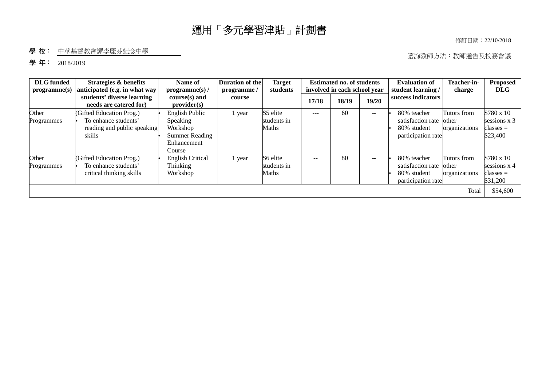# 運用「多元學習津貼」計劃書

修訂日期︰22/10/2018

## 學校: 中華基督教會譚李麗芬紀念中學

諮詢教師方法︰教師通告及校務會議

### 學年: 2018/2019

| <b>DLG</b> funded<br>programme(s) | Strategies & benefits<br>anticipated (e.g. in what way                                    | Name of<br>programme(s) /                                                                | <b>Duration of the</b><br>programme/ | <b>Target</b><br>students               |       | <b>Estimated no. of students</b><br>involved in each school year |               | <b>Evaluation of</b><br>student learning /                            | Teacher-in-<br>charge                          | <b>Proposed</b><br><b>DLG</b>                                              |
|-----------------------------------|-------------------------------------------------------------------------------------------|------------------------------------------------------------------------------------------|--------------------------------------|-----------------------------------------|-------|------------------------------------------------------------------|---------------|-----------------------------------------------------------------------|------------------------------------------------|----------------------------------------------------------------------------|
|                                   | students' diverse learning<br>needs are catered for)                                      | $course(s)$ and<br>provider(s)                                                           | course                               |                                         | 17/18 | 18/19                                                            | 19/20         | success indicators                                                    |                                                |                                                                            |
| Other<br>Programmes               | (Gifted Education Prog.)<br>To enhance students'<br>reading and public speaking<br>skills | English Public<br>Speaking<br>Workshop<br><b>Summer Reading</b><br>Enhancement<br>Course | 1 year                               | S5 elite<br>students in<br><b>Maths</b> | $---$ | 60                                                               | $\sim$ $\sim$ | 80% teacher<br>satisfaction rate<br>80% student<br>participation rate | Tutors from<br>other<br>organizations          | \$780 x 10<br>sessions $x$ 3<br>classes =<br>\$23,400                      |
| Other<br>Programmes               | (Gifted Education Prog.)<br>To enhance students'<br>critical thinking skills              | <b>English Critical</b><br>Thinking<br>Workshop                                          | 1 year                               | S6 elite<br>students in<br><b>Maths</b> | $-$   | 80                                                               | $-$           | 80% teacher<br>satisfaction rate<br>80% student<br>participation rate | Tutors from<br>other<br>organizations<br>Total | \$780 x 10<br>sessions $x$ 4<br>$\text{classes} =$<br>\$31,200<br>\$54,600 |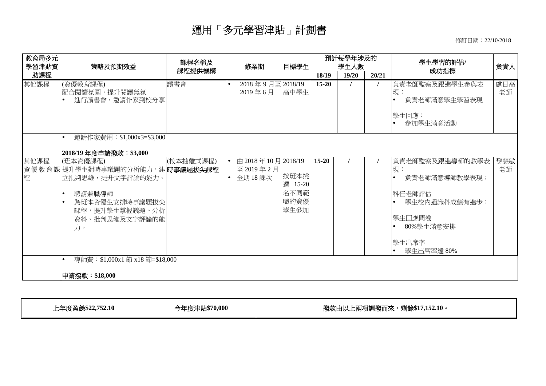# 運用「多元學習津貼」計劃書

修訂日期︰22/10/2018

|                                                                                                    | 課程提供機構        |                                                                                 | 目標學生                         | 預計每學年涉及的<br>學生人數  |                 |       | 學生學習的評估/                                                                                                                     | 負責人       |
|----------------------------------------------------------------------------------------------------|---------------|---------------------------------------------------------------------------------|------------------------------|-------------------|-----------------|-------|------------------------------------------------------------------------------------------------------------------------------|-----------|
|                                                                                                    |               |                                                                                 |                              | 18/19             | 19/20           | 20/21 | 成功指標                                                                                                                         |           |
| (資優教育課程)<br>配合閱讀氛圍,提升閱讀氣氛<br>進行讀書會,邀請作家到校分享                                                        | 讀書會           | 2018年9月至2018/19<br>2019年6月                                                      |                              | $15 - 20$         |                 |       | 負責老師監察及跟進學生參與表<br>現:<br>$\bullet$<br>負責老師滿意學生學習表現<br> 學牛回應:<br>參加學生滿意活動                                                      | 盧日高<br>老師 |
| 邀請作家費用: \$1,000x3=\$3,000<br> 2018/19 年度申請撥款:\$3,000                                               |               |                                                                                 |                              |                   |                 |       |                                                                                                                              |           |
| (班本資優課程)<br>立批判思維,提升文字評論的能力。<br>聘請兼職導師<br>為班本資優生安排時事議題拔尖<br>課程,提升學生掌握議題、分析<br>資料、批判思維及文字評論的能<br>力。 |               | 至2019年2月<br>全期18課次                                                              | 按班本挑<br>名不同範<br>疇的資優<br>學生參加 | $15 - 20$         |                 |       | 負責老師監察及跟進導師的教學表<br>現:<br>負責老師滿意導師教學表現;<br>$\bullet$<br>科任老師評估<br>學生校內通識科成績有進步;<br>學生回應問卷<br>80%學生滿意安排<br>學生出席率<br>學生出席率達 80% | 黎慧敏<br>老師 |
|                                                                                                    | 申請撥款:\$18,000 | (校本抽離式課程)<br>資優教育課 提升學生對時事議題的分析能力,建 時事議題拔尖課程<br>導師費: \$1,000x1 節 x18 節=\$18,000 |                              | 由 2018年10月2018/19 | 高中學生<br>選 15-20 |       |                                                                                                                              |           |

上年度盈餘**\$22,752.10** 今年度津貼**\$70,000** 撥款由以上兩項調撥而來,剩餘**\$17,152.10**。